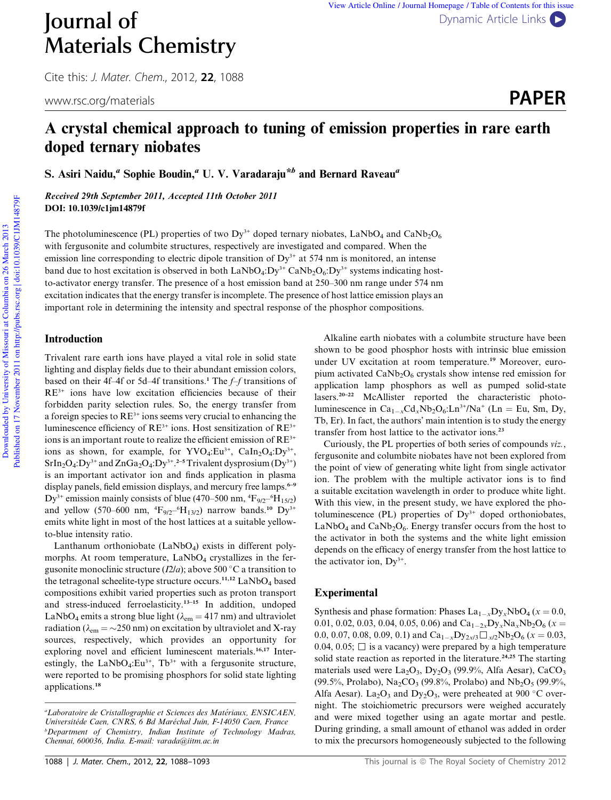# Materials Chemistry

Cite this: J. Mater. Chem., 2012, 22, 1088

### **Journal of** Dynamic Article Links View Article Online / Journal Homepage / Table of Contents for this issue

www.rsc.org/materials **PAPER** 

## A crystal chemical approach to tuning of emission properties in rare earth doped ternary niobates

S. Asiri Naidu," Sophie Boudin," U. V. Varadaraju\*<sup>b</sup> and Bernard Raveau"

Received 29th September 2011, Accepted 11th October 2011 DOI: 10.1039/c1jm14879f

The photoluminescence (PL) properties of two  $Dy^{3+}$  doped ternary niobates, LaNbO<sub>4</sub> and CaNb<sub>2</sub>O<sub>6</sub> with fergusonite and columbite structures, respectively are investigated and compared. When the emission line corresponding to electric dipole transition of  $Dy^{3+}$  at 574 nm is monitored, an intense band due to host excitation is observed in both  $LaNbO_4:Dy^{3+}$  CaNb<sub>2</sub>O<sub>6</sub>:Dy<sup>3+</sup> systems indicating hostto-activator energy transfer. The presence of a host emission band at 250–300 nm range under 574 nm excitation indicates that the energy transfer is incomplete. The presence of host lattice emission plays an important role in determining the intensity and spectral response of the phosphor compositions.

#### Introduction

Trivalent rare earth ions have played a vital role in solid state lighting and display fields due to their abundant emission colors, based on their 4f–4f or 5d–4f transitions.<sup>1</sup> The *f–f* transitions of RE3+ ions have low excitation efficiencies because of their forbidden parity selection rules. So, the energy transfer from a foreign species to  $RE<sup>3+</sup>$  ions seems very crucial to enhancing the luminescence efficiency of  $RE^{3+}$  ions. Host sensitization of  $RE^{3+}$ ions is an important route to realize the efficient emission of  $RE<sup>3+</sup>$ ions as shown, for example, for  $\text{YVO}_4:\text{Eu}^{3+}$ ,  $\text{CaIn}_2\text{O}_4:\text{Dy}^{3+}$ ,  $SrIn<sub>2</sub>O<sub>4</sub>:Dy<sup>3+</sup>$  and  $ZnGa<sub>2</sub>O<sub>4</sub>:Dy<sup>3+</sup>.<sup>2-5</sup> Trivalent dysproxium (Dy<sup>3+</sup>)$ is an important activator ion and finds application in plasma display panels, field emission displays, and mercury free lamps.<sup>6–9</sup> Dy<sup>3+</sup> emission mainly consists of blue (470–500 nm,  $\rm ^4F_{9/2}$ – $\rm ^6H_{15/2}$ ) and yellow (570–600 nm,  ${}^{4}F_{9/2}{}^{-6}H_{13/2}$ ) narrow bands.<sup>10</sup> Dy<sup>3+</sup> emits white light in most of the host lattices at a suitable yellowto-blue intensity ratio.

Lanthanum orthoniobate  $(LaNbO<sub>4</sub>)$  exists in different polymorphs. At room temperature,  $LaNbO<sub>4</sub>$  crystallizes in the fergusonite monoclinic structure  $(I2/a)$ ; above 500 °C a transition to the tetragonal scheelite-type structure occurs.<sup>11,12</sup> LaNbO<sub>4</sub> based compositions exhibit varied properties such as proton transport and stress-induced ferroelasticity.13–15 In addition, undoped LaNbO<sub>4</sub> emits a strong blue light ( $\lambda_{em} = 417$  nm) and ultraviolet radiation ( $\lambda_{em} = \sim 250$  nm) on excitation by ultraviolet and X-ray sources, respectively, which provides an opportunity for exploring novel and efficient luminescent materials.<sup>16,17</sup> Interestingly, the  $LaNbO<sub>4</sub>:Eu<sup>3+</sup>$ , Tb<sup>3+</sup> with a fergusonite structure, were reported to be promising phosphors for solid state lighting applications.<sup>18</sup>

Alkaline earth niobates with a columbite structure have been shown to be good phosphor hosts with intrinsic blue emission under UV excitation at room temperature.<sup>19</sup> Moreover, europium activated  $CaNb<sub>2</sub>O<sub>6</sub>$  crystals show intense red emission for application lamp phosphors as well as pumped solid-state lasers.20–22 McAllister reported the characteristic photoluminescence in  $Ca_{1-x}Cd_xNb_2O_6:Ln^{3+}/Na^+$  (Ln = Eu, Sm, Dy, Tb, Er). In fact, the authors' main intention is to study the energy transfer from host lattice to the activator ions.<sup>23</sup>

Curiously, the PL properties of both series of compounds *viz.*, fergusonite and columbite niobates have not been explored from the point of view of generating white light from single activator ion. The problem with the multiple activator ions is to find a suitable excitation wavelength in order to produce white light. With this view, in the present study, we have explored the photoluminescence (PL) properties of  $Dy^{3+}$  doped orthoniobates,  $LaNbO<sub>4</sub>$  and  $CaNb<sub>2</sub>O<sub>6</sub>$ . Energy transfer occurs from the host to the activator in both the systems and the white light emission depends on the efficacy of energy transfer from the host lattice to the activator ion,  $Dy^{3+}$ .

#### Experimental

Synthesis and phase formation: Phases  $La_{1-x}Dy_xNbO_4$  ( $x=0.0$ , 0.01, 0.02, 0.03, 0.04, 0.05, 0.06) and  $Ca_{1-2x}Dy_xNa_xNb_2O_6$  ( $x=$ 0.0, 0.07, 0.08, 0.09, 0.1) and  $Ca_{1-x}Dy_{2x/3}\Box_{x/2}Nb_2O_6$  ( $x=0.03$ , 0.04, 0.05;  $\Box$  is a vacancy) were prepared by a high temperature solid state reaction as reported in the literature.<sup>24,25</sup> The starting materials used were  $La_2O_3$ ,  $Dy_2O_3$  (99.9%, Alfa Aesar), CaCO<sub>3</sub> (99.5%, Prolabo),  $\text{Na}_2\text{CO}_3$  (99.8%, Prolabo) and  $\text{Nb}_2\text{O}_5$  (99.9%, Alfa Aesar). La<sub>2</sub>O<sub>3</sub> and Dy<sub>2</sub>O<sub>3</sub>, were preheated at 900 °C overnight. The stoichiometric precursors were weighed accurately and were mixed together using an agate mortar and pestle. During grinding, a small amount of ethanol was added in order to mix the precursors homogeneously subjected to the following

*<sup>a</sup>Laboratoire de Cristallographie et Sciences des Materiaux, ENSICAEN, Universitede Caen, CNRS, 6 Bd Mar echal Juin, F-14050 Caen, France <sup>b</sup>Department of Chemistry, Indian Institute of Technology Madras, Chennai, 600036, India. E-mail: varada@iitm.ac.in*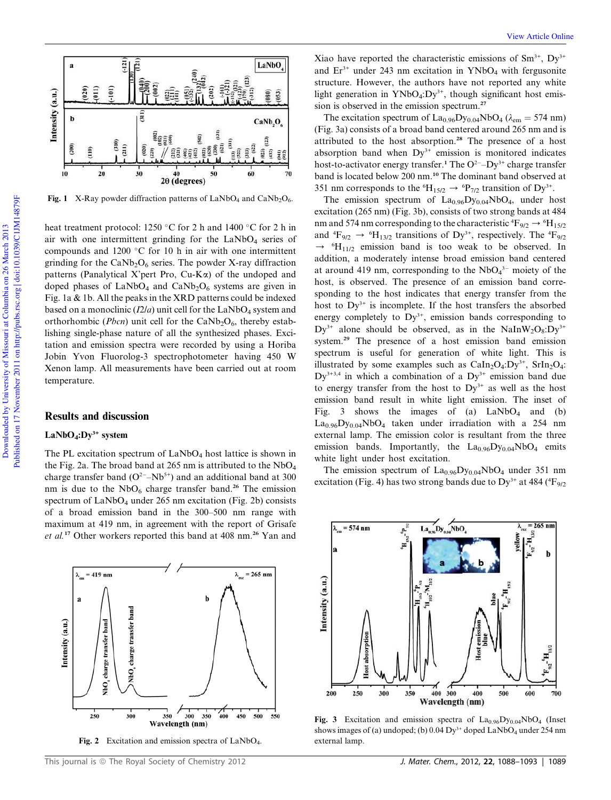

**Fig. 1** X-Ray powder diffraction patterns of  $LaNbO<sub>4</sub>$  and  $CaNb<sub>2</sub>O<sub>6</sub>$ .

heat treatment protocol: 1250 °C for 2 h and 1400 °C for 2 h in air with one intermittent grinding for the  $LaNbO<sub>4</sub>$  series of compounds and  $1200$  °C for 10 h in air with one intermittent grinding for the  $CaNb<sub>2</sub>O<sub>6</sub>$  series. The powder X-ray diffraction patterns (Panalytical X'pert Pro, Cu-K $\alpha$ ) of the undoped and doped phases of  $LaNbO<sub>4</sub>$  and  $CaNb<sub>2</sub>O<sub>6</sub>$  systems are given in Fig. 1a & 1b. All the peaks in the XRD patterns could be indexed based on a monoclinic  $(I2/a)$  unit cell for the LaNbO<sub>4</sub> system and orthorhombic (*Pbcn*) unit cell for the  $CaNb<sub>2</sub>O<sub>6</sub>$ , thereby establishing single-phase nature of all the synthesized phases. Excitation and emission spectra were recorded by using a Horiba Jobin Yvon Fluorolog-3 spectrophotometer having 450 W Xenon lamp. All measurements have been carried out at room temperature.

#### Results and discussion

#### $LaNbO<sub>4</sub>:Dy<sup>3+</sup> system$

The PL excitation spectrum of  $LaNbO<sub>4</sub>$  host lattice is shown in the Fig. 2a. The broad band at 265 nm is attributed to the  $NbO<sub>4</sub>$ charge transfer band  $(O^{2-}Nb^{5+})$  and an additional band at 300 nm is due to the  $NbO<sub>6</sub>$  charge transfer band.<sup>26</sup> The emission spectrum of  $LaNbO<sub>4</sub>$  under 265 nm excitation (Fig. 2b) consists of a broad emission band in the 300–500 nm range with maximum at 419 nm, in agreement with the report of Grisafe *et al.*<sup>17</sup> Other workers reported this band at 408 nm.<sup>26</sup> Yan and



Fig. 2 Excitation and emission spectra of  $\text{LaNbO}_4$ .

Xiao have reported the characteristic emissions of  $Sm^{3+}$ ,  $Dv^{3+}$ and  $Er^{3+}$  under 243 nm excitation in YNbO<sub>4</sub> with fergusonite structure. However, the authors have not reported any white light generation in YNbO<sub>4</sub>:Dy<sup>3+</sup>, though significant host emission is observed in the emission spectrum.<sup>27</sup>

The excitation spectrum of  $La_{0.96}Dy_{0.04}NbO_4$  ( $\lambda_{em} = 574$  nm) (Fig. 3a) consists of a broad band centered around 265 nm and is attributed to the host absorption.<sup>28</sup> The presence of a host absorption band when  $Dy^{3+}$  emission is monitored indicates host-to-activator energy transfer.<sup>1</sup> The  $O^{2}-Dy^{3+}$  charge transfer band is located below 200 nm.<sup>10</sup> The dominant band observed at 351 nm corresponds to the <sup>6</sup>H<sub>15/2</sub>  $\rightarrow$  <sup>6</sup>P<sub>7/2</sub> transition of Dy<sup>3+</sup>.

The emission spectrum of  $La<sub>0.96</sub>Dy<sub>0.04</sub>NbO<sub>4</sub>$ , under host excitation (265 nm) (Fig. 3b), consists of two strong bands at 484 nm and 574 nm corresponding to the characteristic  ${}^4\text{F}_{9/2} \rightarrow {}^6\text{H}_{15/2}$ and  ${}^4F_{9/2}$   $\rightarrow {}^6H_{13/2}$  transitions of Dy<sup>3+</sup>, respectively. The  ${}^4F_{9/2}$  $\rightarrow$  <sup>6</sup>H<sub>11/2</sub> emission band is too weak to be observed. In addition, a moderately intense broad emission band centered at around 419 nm, corresponding to the  $NbO<sub>4</sub><sup>3-</sup>$  moiety of the host, is observed. The presence of an emission band corresponding to the host indicates that energy transfer from the host to  $Dy^{3+}$  is incomplete. If the host transfers the absorbed energy completely to  $Dy^{3+}$ , emission bands corresponding to  $Dy^{3+}$  alone should be observed, as in the NaInW<sub>2</sub>O<sub>8</sub>:Dy<sup>3+</sup> system.<sup>29</sup> The presence of a host emission band emission spectrum is useful for generation of white light. This is illustrated by some examples such as  $CaIn<sub>2</sub>O<sub>4</sub>:Dy<sup>3+</sup>$ ,  $SrIn<sub>2</sub>O<sub>4</sub>:$  $Dy^{3+3,4}$  in which a combination of a  $Dy^{3+}$  emission band due to energy transfer from the host to  $Dy^{3+}$  as well as the host emission band result in white light emission. The inset of Fig. 3 shows the images of (a)  $LaNbO<sub>4</sub>$  and (b)  $La<sub>0.96</sub>Dy<sub>0.04</sub>NbO<sub>4</sub>$  taken under irradiation with a 254 nm external lamp. The emission color is resultant from the three emission bands. Importantly, the  $La<sub>0.96</sub>Dy<sub>0.04</sub>NbO<sub>4</sub>$  emits white light under host excitation.

The emission spectrum of  $La<sub>0.96</sub>Dy<sub>0.04</sub>NbO<sub>4</sub>$  under 351 nm excitation (Fig. 4) has two strong bands due to  $Dy^{3+}$  at 484 ( ${}^{4}F_{9/2}$ )



Fig. 3 Excitation and emission spectra of  $La<sub>0.96</sub>Dy<sub>0.04</sub>NbO<sub>4</sub>$  (Inset shows images of (a) undoped; (b)  $0.04 \text{ Dy}^{3+}$  doped LaNbO<sub>4</sub> under 254 nm external lamp.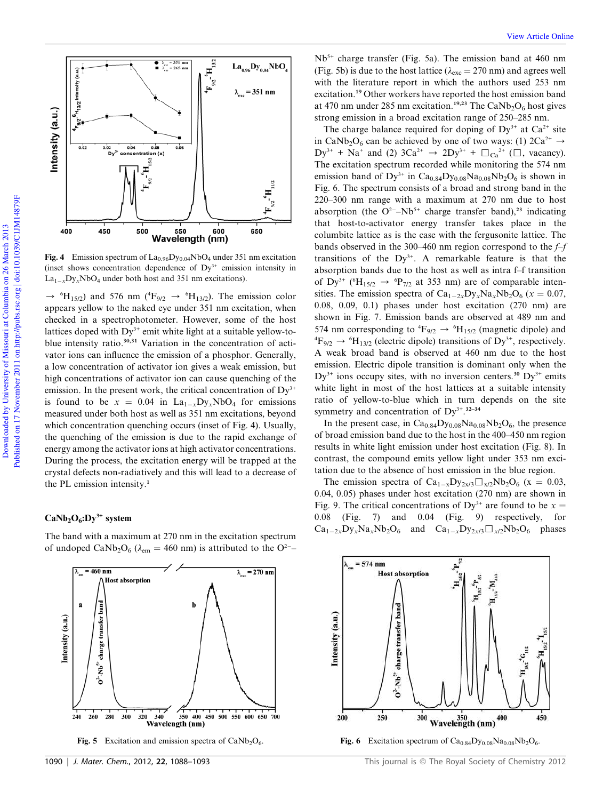

**Fig. 4** Emission spectrum of  $La_{0.96}Dy_{0.04}NbO_4$  under 351 nm excitation (inset shows concentration dependence of  $Dy^{3+}$  emission intensity in  $La_{1-x}Dy_xNbO_4$  under both host and 351 nm excitations).

 $\rightarrow$  <sup>6</sup>H<sub>15/2</sub>) and 576 nm (<sup>4</sup>F<sub>9/2</sub>  $\rightarrow$  <sup>6</sup>H<sub>13/2</sub>). The emission color appears yellow to the naked eye under 351 nm excitation, when checked in a spectrophotometer. However, some of the host lattices doped with  $Dy^{3+}$  emit white light at a suitable yellow-toblue intensity ratio.<sup>30,31</sup> Variation in the concentration of activator ions can influence the emission of a phosphor. Generally, a low concentration of activator ion gives a weak emission, but high concentrations of activator ion can cause quenching of the emission. In the present work, the critical concentration of  $Dy^{3+}$ is found to be  $x = 0.04$  in  $La_{1-x}Dy_xNbO_4$  for emissions measured under both host as well as 351 nm excitations, beyond which concentration quenching occurs (inset of Fig. 4). Usually, the quenching of the emission is due to the rapid exchange of energy among the activator ions at high activator concentrations. During the process, the excitation energy will be trapped at the crystal defects non-radiatively and this will lead to a decrease of the PL emission intensity.<sup>1</sup>

#### $CaNb<sub>2</sub>O<sub>6</sub>:Dy<sup>3+</sup> system$

 $\lambda_{em}$  = 460 nm

band

charge transfer

 $O^2$ -Nb<sup>5+</sup>

260

280

240

 $\mathbf{a}$ 

Intensity (a.u.)

**Host absorption** 

The band with a maximum at 270 nm in the excitation spectrum of undoped CaNb<sub>2</sub>O<sub>6</sub> ( $\lambda_{em}$  = 460 nm) is attributed to the O<sup>2-</sup>-

b

 $\lambda_{\text{exc}}$  = 270 nm

350 400 450 500 550 600 650 700

320

300

Fig. 5 Excitation and emission spectra of CaNb<sub>2</sub>O<sub>6</sub>.

Wavelength (nm)

340

 $Nb<sup>5+</sup>$  charge transfer (Fig. 5a). The emission band at 460 nm (Fig. 5b) is due to the host lattice ( $\lambda_{\rm exc} = 270$  nm) and agrees well with the literature report in which the authors used 253 nm excitation.<sup>19</sup> Other workers have reported the host emission band at 470 nm under 285 nm excitation.<sup>19,23</sup> The CaNb<sub>2</sub>O<sub>6</sub> host gives strong emission in a broad excitation range of 250–285 nm.

The charge balance required for doping of  $Dy^{3+}$  at  $Ca^{2+}$  site in CaNb<sub>2</sub>O<sub>6</sub> can be achieved by one of two ways: (1)  $2Ca^{2+} \rightarrow$  $Dy^{3+}$  + Na<sup>+</sup> and (2) 3Ca<sup>2+</sup>  $\rightarrow$  2Dy<sup>3+</sup> +  $\Box_{Ca}^{2+}$  ( $\Box$ , vacancy). The excitation spectrum recorded while monitoring the 574 nm emission band of  $Dy^{3+}$  in  $Ca_{0.84}Dy_{0.08}Na_{0.08}Nb_2O_6$  is shown in Fig. 6. The spectrum consists of a broad and strong band in the 220–300 nm range with a maximum at 270 nm due to host absorption (the  $O^{2-}$ -Nb<sup>5+</sup> charge transfer band),<sup>23</sup> indicating that host-to-activator energy transfer takes place in the columbite lattice as is the case with the fergusonite lattice. The bands observed in the 300–460 nm region correspond to the *f–f* transitions of the  $Dy^{3+}$ . A remarkable feature is that the absorption bands due to the host as well as intra f–f transition of Dy<sup>3+</sup> ( ${}^6H_{15/2}$   $\rightarrow {}^6P_{7/2}$  at 353 nm) are of comparable intensities. The emission spectra of  $Ca_{1-2x}Dy_xNa_xNb_2O_6$  ( $x=0.07$ , 0.08, 0.09, 0.1) phases under host excitation (270 nm) are shown in Fig. 7. Emission bands are observed at 489 nm and 574 nm corresponding to  ${}^4\text{F}_{9/2} \rightarrow {}^6\text{H}_{15/2}$  (magnetic dipole) and  ${}^{4}F_{9/2} \rightarrow {}^{6}H_{13/2}$  (electric dipole) transitions of Dy<sup>3+</sup>, respectively. A weak broad band is observed at 460 nm due to the host emission. Electric dipole transition is dominant only when the  $Dy^{3+}$  ions occupy sites, with no inversion centers.<sup>30</sup> Dy<sup>3+</sup> emits white light in most of the host lattices at a suitable intensity ratio of yellow-to-blue which in turn depends on the site symmetry and concentration of  $Dy^{3+}$ .  $32-34$ 

In the present case, in  $Ca<sub>0.84</sub>Dy<sub>0.08</sub>Na<sub>0.08</sub>Nb<sub>2</sub>O<sub>6</sub>$ , the presence of broad emission band due to the host in the 400–450 nm region results in white light emission under host excitation (Fig. 8). In contrast, the compound emits yellow light under 353 nm excitation due to the absence of host emission in the blue region.

The emission spectra of  $Ca_{1-x}Dy_{2x/3}\Box_{x/2}Nb_2O_6$  (x = 0.03, 0.04, 0.05) phases under host excitation (270 nm) are shown in Fig. 9. The critical concentrations of  $Dy^{3+}$  are found to be  $x =$ 0.08 (Fig. 7) and 0.04 (Fig. 9) respectively, for  $Ca_{1-2x}Dy_xNa_xNb_2O_6$  and  $Ca_{1-x}Dy_{2x/3}\Box_{x/2}Nb_2O_6$  phases

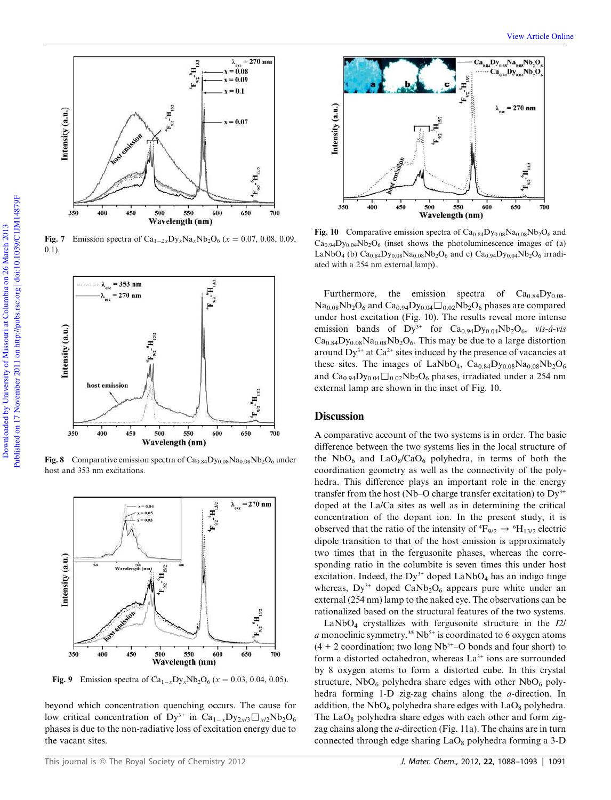

Fig. 7 Emission spectra of  $Ca_{1-2x}Dy_xNa_xNb_2O_6$  ( $x = 0.07, 0.08, 0.09,$ 0.1).



Fig. 8 Comparative emission spectra of  $Ca_{0.84}Dy_{0.08}Na_{0.08}Nb_2O_6$  under host and 353 nm excitations.



**Fig. 9** Emission spectra of  $Ca_{1-x}Dy_xNb_2O_6$  ( $x = 0.03, 0.04, 0.05$ ).

beyond which concentration quenching occurs. The cause for low critical concentration of  $Dy^{3+}$  in  $Ca_{1-x}Dy_{2x/3}\Box_{x/2}Nb_2O_6$ phases is due to the non-radiative loss of excitation energy due to the vacant sites.



Fig. 10 Comparative emission spectra of  $Ca<sub>0.84</sub>Dy<sub>0.08</sub>Na<sub>0.08</sub>Nb<sub>2</sub>O<sub>6</sub>$  and  $Ca<sub>0.94</sub>Dy<sub>0.04</sub>Nb<sub>2</sub>O<sub>6</sub>$  (inset shows the photoluminescence images of (a) LaNbO<sub>4</sub> (b) Ca<sub>0.84</sub>Dy<sub>0.08</sub>Na<sub>0.08</sub>Nb<sub>2</sub>O<sub>6</sub> and c) Ca<sub>0.94</sub>Dy<sub>0.04</sub>Nb<sub>2</sub>O<sub>6</sub> irradiated with a 254 nm external lamp).

Furthermore, the emission spectra of  $Ca<sub>0.84</sub>Dy<sub>0.08</sub>$  $Na<sub>0.08</sub>Nb<sub>2</sub>O<sub>6</sub>$  and  $Ca<sub>0.94</sub>Dy<sub>0.04</sub> \square<sub>0.02</sub>Nb<sub>2</sub>O<sub>6</sub>$  phases are compared under host excitation (Fig. 10). The results reveal more intense emission bands of  $Dy^{3+}$  for  $Ca_{0.94}Dy_{0.04}Nb_2O_6$ , *vis-á-vis*  $Ca<sub>0.84</sub>Dy<sub>0.08</sub>Na<sub>0.08</sub>Nb<sub>2</sub>O<sub>6</sub>$ . This may be due to a large distortion around  $Dy^{3+}$  at  $Ca^{2+}$  sites induced by the presence of vacancies at these sites. The images of LaNbO<sub>4</sub>,  $Ca<sub>0.84</sub>Dy<sub>0.08</sub>Na<sub>0.08</sub>Nb<sub>2</sub>O<sub>6</sub>$ and  $Ca_{0.94}D_{y_{0.04}}\Box_{0.02}Nb_2O_6$  phases, irradiated under a 254 nm external lamp are shown in the inset of Fig. 10.

#### **Discussion**

A comparative account of the two systems is in order. The basic difference between the two systems lies in the local structure of the  $NbO<sub>6</sub>$  and  $LaO<sub>8</sub>/CaO<sub>6</sub>$  polyhedra, in terms of both the coordination geometry as well as the connectivity of the polyhedra. This difference plays an important role in the energy transfer from the host (Nb–O charge transfer excitation) to  $Dy^{3+}$ doped at the La/Ca sites as well as in determining the critical concentration of the dopant ion. In the present study, it is observed that the ratio of the intensity of  ${}^4\text{F}_{9/2} \rightarrow {}^6\text{H}_{13/2}$  electric dipole transition to that of the host emission is approximately two times that in the fergusonite phases, whereas the corresponding ratio in the columbite is seven times this under host excitation. Indeed, the  $Dy^{3+}$  doped LaNbO<sub>4</sub> has an indigo tinge whereas,  $Dy^{3+}$  doped  $CaNb<sub>2</sub>O<sub>6</sub>$  appears pure white under an external (254 nm) lamp to the naked eye. The observations can be rationalized based on the structural features of the two systems.

LaNbO<sup>4</sup> crystallizes with fergusonite structure in the *I*2/ *a* monoclinic symmetry.<sup>35</sup> Nb<sup>5+</sup> is coordinated to 6 oxygen atoms  $(4 + 2$  coordination; two long Nb<sup>5+</sup>–O bonds and four short) to form a distorted octahedron, whereas  $La^{3+}$  ions are surrounded by 8 oxygen atoms to form a distorted cube. In this crystal structure,  $NbO<sub>6</sub>$  polyhedra share edges with other  $NbO<sub>6</sub>$  polyhedra forming 1-D zig-zag chains along the *a*-direction. In addition, the  $NbO<sub>6</sub>$  polyhedra share edges with  $LaO<sub>8</sub>$  polyhedra. The  $LaO_8$  polyhedra share edges with each other and form zigzag chains along the *a*-direction (Fig. 11a). The chains are in turn connected through edge sharing  $LaO_8$  polyhedra forming a 3-D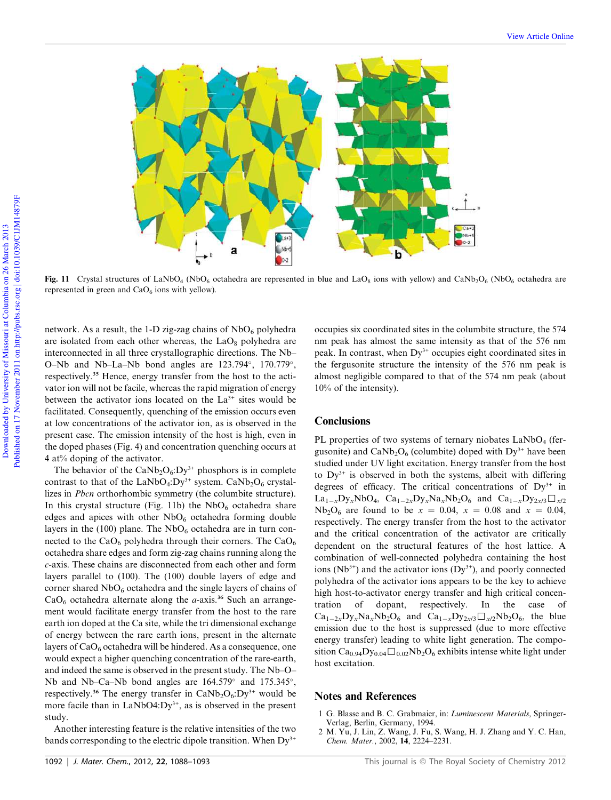

Fig. 11 Crystal structures of LaNbO<sub>4</sub> (NbO<sub>6</sub> octahedra are represented in blue and LaO<sub>8</sub> ions with yellow) and CaNb<sub>2</sub>O<sub>6</sub> (NbO<sub>6</sub> octahedra are represented in green and  $CaO<sub>6</sub>$  ions with yellow).

network. As a result, the 1-D zig-zag chains of  $NbO<sub>6</sub>$  polyhedra are isolated from each other whereas, the  $LaO<sub>8</sub>$  polyhedra are interconnected in all three crystallographic directions. The Nb– O-Nb and Nb-La-Nb bond angles are  $123.794^{\circ}$ ,  $170.779^{\circ}$ , respectively.<sup>35</sup> Hence, energy transfer from the host to the activator ion will not be facile, whereas the rapid migration of energy between the activator ions located on the La<sup>3+</sup> sites would be facilitated. Consequently, quenching of the emission occurs even at low concentrations of the activator ion, as is observed in the present case. The emission intensity of the host is high, even in the doped phases (Fig. 4) and concentration quenching occurs at 4 at% doping of the activator.

The behavior of the  $CaNb<sub>2</sub>O<sub>6</sub>:Dy<sup>3+</sup>$  phosphors is in complete contrast to that of the LaNbO<sub>4</sub>:Dy<sup>3+</sup> system. CaNb<sub>2</sub>O<sub>6</sub> crystallizes in *Pbcn* orthorhombic symmetry (the columbite structure). In this crystal structure (Fig. 11b) the  $NbO<sub>6</sub>$  octahedra share edges and apices with other  $NbO<sub>6</sub>$  octahedra forming double layers in the (100) plane. The  $NbO<sub>6</sub>$  octahedra are in turn connected to the  $CaO<sub>6</sub>$  polyhedra through their corners. The  $CaO<sub>6</sub>$ octahedra share edges and form zig-zag chains running along the *c*-axis. These chains are disconnected from each other and form layers parallel to (100). The (100) double layers of edge and corner shared  $NbO<sub>6</sub>$  octahedra and the single layers of chains of  $CaO<sub>6</sub>$  octahedra alternate along the *a*-axis.<sup>36</sup> Such an arrangement would facilitate energy transfer from the host to the rare earth ion doped at the Ca site, while the tri dimensional exchange of energy between the rare earth ions, present in the alternate layers of  $CaO<sub>6</sub>$  octahedra will be hindered. As a consequence, one would expect a higher quenching concentration of the rare-earth, and indeed the same is observed in the present study. The Nb–O– Nb and Nb–Ca–Nb bond angles are  $164.579^{\circ}$  and  $175.345^{\circ}$ , respectively.<sup>36</sup> The energy transfer in  $CaNb<sub>2</sub>O<sub>6</sub>:Dy<sup>3+</sup>$  would be more facile than in LaNbO4:Dy<sup>3+</sup>, as is observed in the present study.

Another interesting feature is the relative intensities of the two bands corresponding to the electric dipole transition. When  $Dy^{3+}$ 

occupies six coordinated sites in the columbite structure, the 574 nm peak has almost the same intensity as that of the 576 nm peak. In contrast, when Dy<sup>3+</sup> occupies eight coordinated sites in the fergusonite structure the intensity of the 576 nm peak is almost negligible compared to that of the 574 nm peak (about 10% of the intensity).

#### **Conclusions**

PL properties of two systems of ternary niobates  $LaNbO<sub>4</sub>$  (fergusonite) and  $CaNb<sub>2</sub>O<sub>6</sub>$  (columbite) doped with  $Dy<sup>3+</sup>$  have been studied under UV light excitation. Energy transfer from the host to  $Dy^{3+}$  is observed in both the systems, albeit with differing degrees of efficacy. The critical concentrations of  $Dy^{3+}$  in La<sub>1-x</sub>Dy<sub>x</sub>NbO<sub>4</sub>, Ca<sub>1-2x</sub>Dy<sub>x</sub>Na<sub>x</sub>Nb<sub>2</sub>O<sub>6</sub> and Ca<sub>1-x</sub>Dy<sub>2x/3</sub> $\Box$ <sub>x/2</sub> Nb<sub>2</sub>O<sub>6</sub> are found to be  $x = 0.04$ ,  $x = 0.08$  and  $x = 0.04$ , respectively. The energy transfer from the host to the activator and the critical concentration of the activator are critically dependent on the structural features of the host lattice. A combination of well-connected polyhedra containing the host ions ( $Nb<sup>5+</sup>$ ) and the activator ions ( $Dy<sup>3+</sup>$ ), and poorly connected polyhedra of the activator ions appears to be the key to achieve high host-to-activator energy transfer and high critical concentration of dopant, respectively. In the case of  $Ca_{1-2x}Dy_xNa_xNb_2O_6$  and  $Ca_{1-x}Dy_{2x/3}\Box_{x/2}Nb_2O_6$ , the blue emission due to the host is suppressed (due to more effective energy transfer) leading to white light generation. The composition Ca<sub>0.94</sub>Dy<sub>0.04</sub> $\Box$ <sub>0.02</sub>Nb<sub>2</sub>O<sub>6</sub> exhibits intense white light under host excitation.

#### Notes and References

- 1 G. Blasse and B. C. Grabmaier, in: *Luminescent Materials*, Springer-Verlag, Berlin, Germany, 1994.
- 2 M. Yu, J. Lin, Z. Wang, J. Fu, S. Wang, H. J. Zhang and Y. C. Han, *Chem. Mater.*, 2002, 14, 2224–2231.